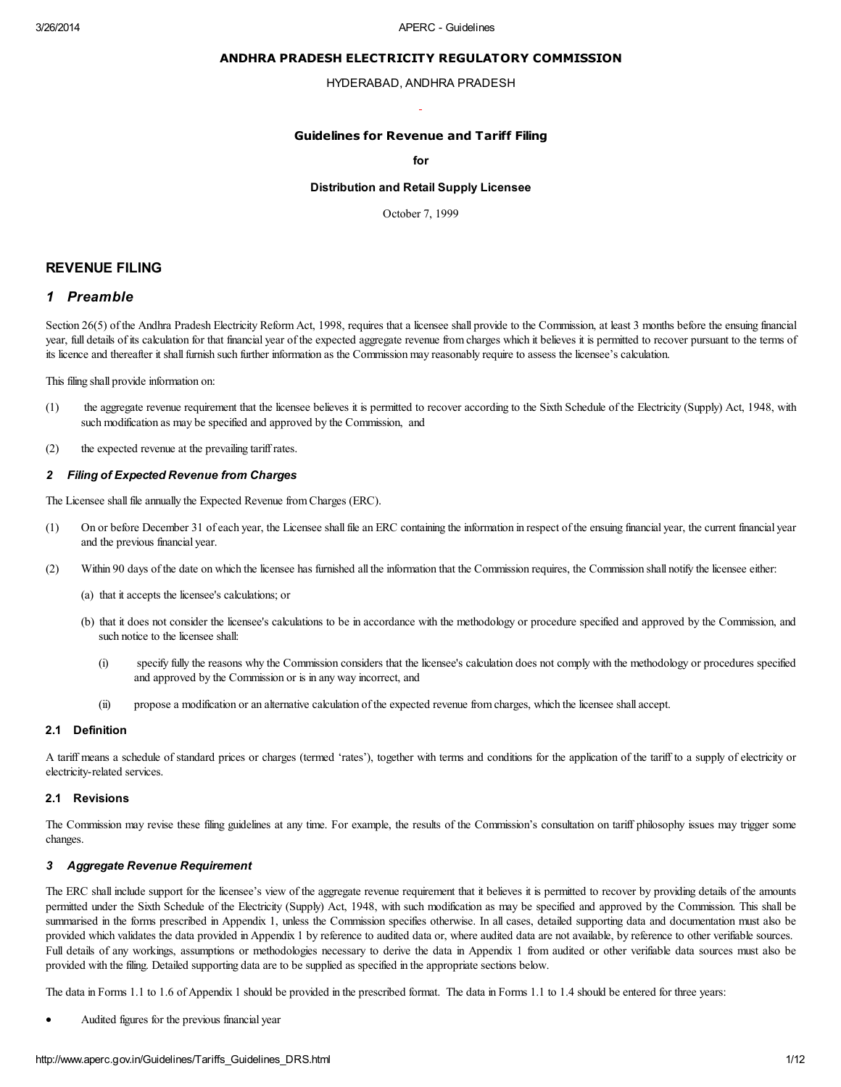#### ANDHRA PRADESH ELECTRICITY REGULATORY COMMISSION

#### HYDERABAD, ANDHRA PRADESH

### Guidelines for Revenue and Tariff Filing

#### for

### Distribution and Retail Supply Licensee

October 7, 1999

## REVENUE FILING

## 1 Preamble

Section 26(5) of the Andhra Pradesh Electricity Reform Act, 1998, requires that a licensee shall provide to the Commission, at least 3 months before the ensuing financial year, full details of its calculation for that financial year of the expected aggregate revenue from charges which it believes it is permitted to recover pursuant to the terms of its licence and thereafter it shallfurnish such further information as the Commission may reasonably require to assess the licensee's calculation.

This filing shall provide information on:

- (1) the aggregate revenue requirement that the licensee believes it is permitted to recover according to the Sixth Schedule of the Electricity (Supply) Act, 1948, with such modification as may be specified and approved by the Commission, and
- (2) the expected revenue at the prevailing tariff rates.

#### 2 Filing of Expected Revenue from Charges

The Licensee shall file annually the Expected Revenue from Charges (ERC).

- (1) On or before December 31 of each year, the Licensee shall file an ERC containing the information in respect of the ensuing financial year, the current financial year and the previous financial year.
- (2) Within 90 days of the date on which the licensee has furnished all the information that the Commission requires, the Commission shall notify the licensee either:
	- (a) that it accepts the licensee's calculations; or
	- (b) that it does not consider the licensee's calculations to be in accordance with the methodology or procedure specified and approved by the Commission, and such notice to the licensee shall:
		- (i) specify fully the reasons why the Commission considers that the licensee's calculation does not comply with the methodology or procedures specified and approved by the Commission or is in any way incorrect, and
		- (ii) propose a modification or an alternative calculation of the expected revenue from charges, which the licensee shall accept.

#### 2.1 Definition

A tariff means a schedule of standard prices or charges (termed 'rates'), together with terms and conditions for the application of the tariff to a supply of electricity or electricity-related services.

#### 2.1 Revisions

The Commission may revise these filing guidelines at any time. For example, the results of the Commission's consultation on tariff philosophy issues may trigger some changes.

#### 3 Aggregate Revenue Requirement

The ERC shall include support for the licensee's view of the aggregate revenue requirement that it believes it is permitted to recover by providing details of the amounts permitted under the Sixth Schedule of the Electricity (Supply) Act, 1948, with such modification as may be specified and approved by the Commission. This shall be summarised in the forms prescribed in Appendix 1, unless the Commission specifies otherwise. In all cases, detailed supporting data and documentation must also be provided which validates the data provided in Appendix 1 by reference to audited data or, where audited data are not available, by reference to other verifiable sources. Full details of any workings, assumptions or methodologies necessary to derive the data in Appendix 1 from audited or other verifiable data sources must also be provided with the filing. Detailed supporting data are to be supplied as specified in the appropriate sections below.

The data in Forms 1.1 to 1.6 of Appendix 1 should be provided in the prescribed format. The data in Forms 1.1 to 1.4 should be entered for three years:

Audited figures for the previous financial year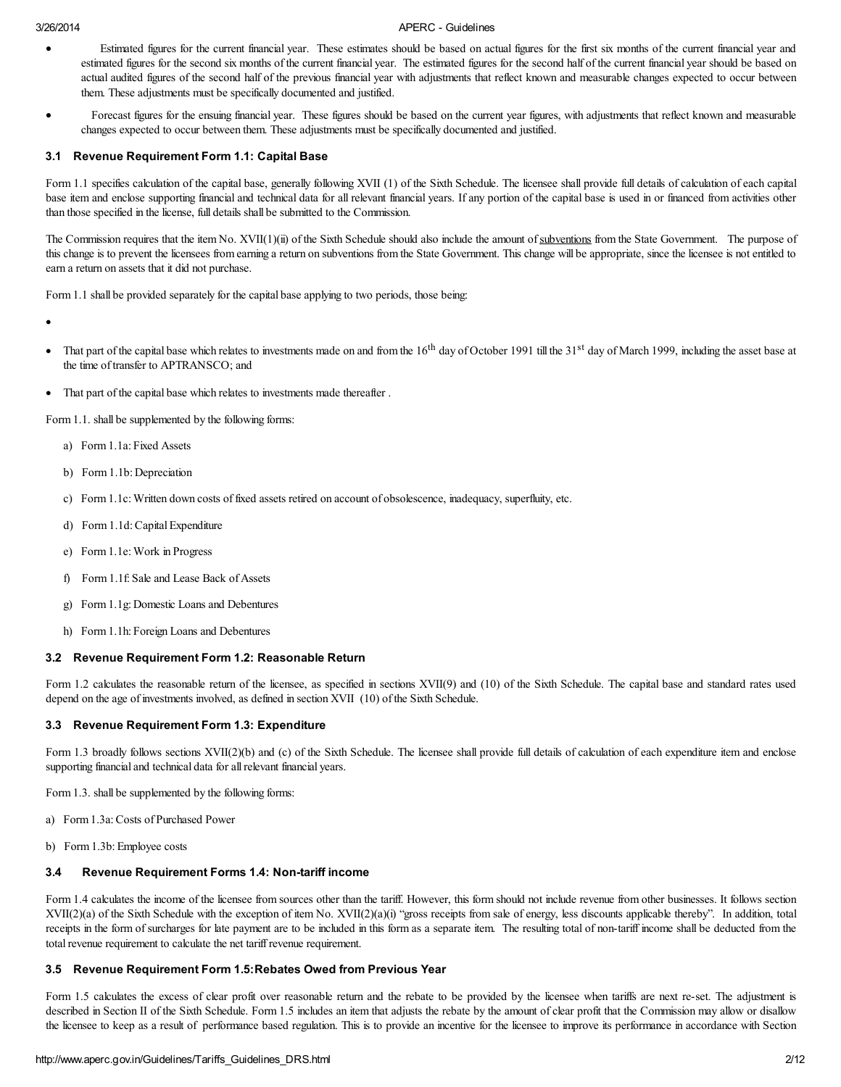- Estimated figures for the current financial year. These estimates should be based on actual figures for the first six months of the current financial year and estimated figures for the second six months of the current financial year. The estimated figures for the second half of the current financial year should be based on actual audited figures of the second half of the previous financial year with adjustments that reflect known and measurable changes expected to occur between them. These adjustments must be specifically documented and justified.
- Forecast figures for the ensuing financial year. These figures should be based on the current year figures, with adjustments that reflect known and measurable changes expected to occur between them. These adjustments must be specifically documented and justified.

#### 3.1 Revenue Requirement Form 1.1: Capital Base

Form 1.1 specifies calculation of the capital base, generally following XVII (1) of the Sixth Schedule. The licensee shall provide full details of calculation of each capital base item and enclose supporting financial and technical data for all relevant financial years. If any portion of the capital base is used in or financed from activities other than those specified in the license, full details shall be submitted to the Commission.

The Commission requires that the item No. XVII(1)(ii) of the Sixth Schedule should also include the amount of subventions from the State Government. The purpose of this change is to prevent the licensees from earning a return on subventions from the State Government. This change will be appropriate, since the licensee is not entitled to earn a return on assets that it did not purchase.

Form 1.1 shall be provided separately for the capital base applying to two periods, those being:

·

- That part of the capital base which relates to investments made on and from the  $16<sup>th</sup>$  day of October 1991 till the  $31<sup>st</sup>$  day of March 1999, including the asset base at the time of transfer to APTRANSCO; and
- That part of the capital base which relates to investments made thereafter.

Form 1.1. shall be supplemented by the following forms:

- a) Form 1.1a: Fixed Assets
- b) Form 1.1b: Depreciation
- c) Form 1.1c: Written down costs of fixed assets retired on account of obsolescence, inadequacy, superfluity, etc.
- d) Form 1.1d:Capital Expenditure
- e) Form 1.1e: Work in Progress
- f) Form 1.1f: Sale and Lease Back of Assets
- g) Form 1.1g: Domestic Loans and Debentures
- h) Form 1.1h: Foreign Loans and Debentures

#### 3.2 Revenue Requirement Form 1.2: Reasonable Return

Form 1.2 calculates the reasonable return of the licensee, as specified in sections XVII(9) and (10) of the Sixth Schedule. The capital base and standard rates used depend on the age of investments involved, as defined in section XVII (10) of the Sixth Schedule.

#### 3.3 Revenue Requirement Form 1.3: Expenditure

Form 1.3 broadly follows sections XVII(2)(b) and (c) of the Sixth Schedule. The licensee shall provide full details of calculation of each expenditure item and enclose supporting financial and technical data for allrelevant financial years.

Form 1.3. shall be supplemented by the following forms:

- a) Form 1.3a:Costs of Purchased Power
- b) Form 1.3b: Employee costs

#### 3.4 Revenue Requirement Forms 1.4: Non-tariff income

Form 1.4 calculates the income of the licensee from sources other than the tariff. However, this form should not include revenue from other businesses. It follows section XVII(2)(a) of the Sixth Schedule with the exception of item No. XVII(2)(a)(i) "gross receipts from sale of energy, less discounts applicable thereby". In addition, total receipts in the form of surcharges for late payment are to be included in this form as a separate item. The resulting total of non-tariff income shall be deducted from the total revenue requirement to calculate the net tariff revenue requirement.

## 3.5 Revenue Requirement Form 1.5:Rebates Owed from Previous Year

Form 1.5 calculates the excess of clear profit over reasonable return and the rebate to be provided by the licensee when tariffs are next re-set. The adjustment is described in Section II of the Sixth Schedule. Form 1.5 includes an item that adjusts the rebate by the amount of clear profit that the Commission may allow or disallow the licensee to keep as a result of performance based regulation. This is to provide an incentive for the licensee to improve its performance in accordance with Section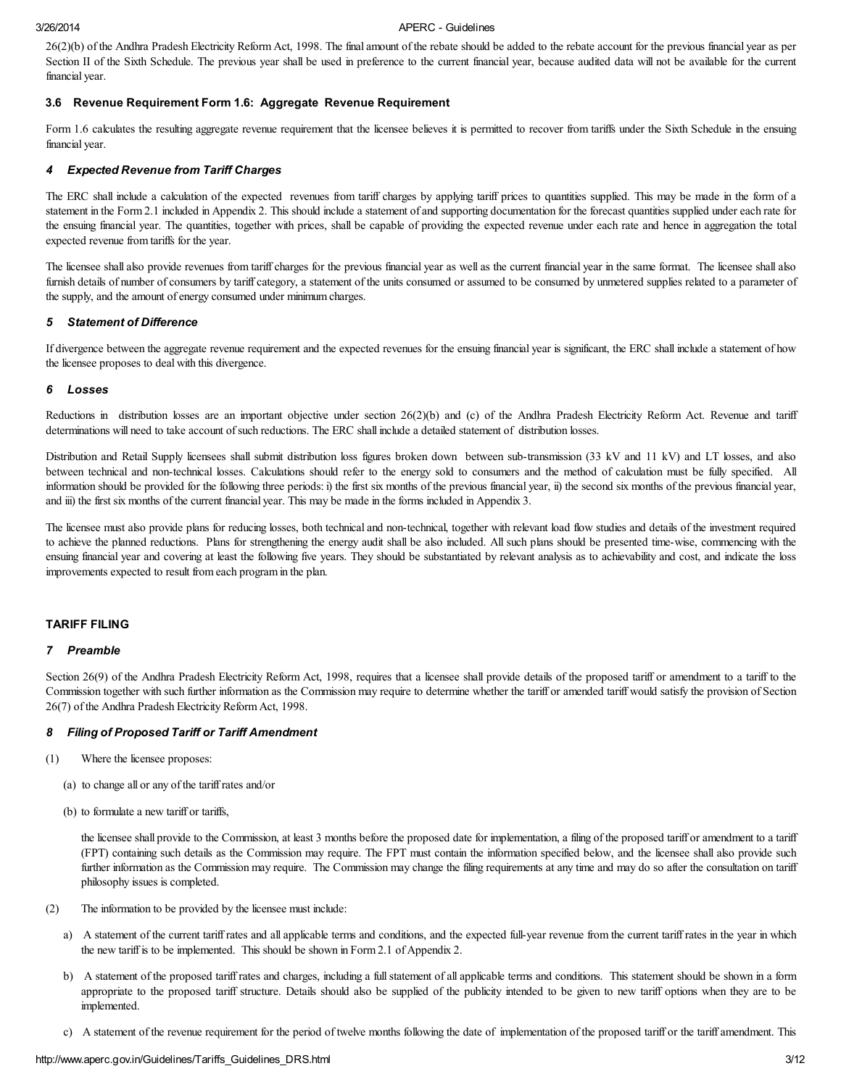26(2)(b) of the Andhra Pradesh Electricity Reform Act, 1998. The final amount of the rebate should be added to the rebate account for the previous financial year as per Section II of the Sixth Schedule. The previous year shall be used in preference to the current financial year, because audited data will not be available for the current financial year.

### 3.6 Revenue Requirement Form 1.6: Aggregate Revenue Requirement

Form 1.6 calculates the resulting aggregate revenue requirement that the licensee believes it is permitted to recover from tariffs under the Sixth Schedule in the ensuing financial year.

#### 4 Expected Revenue from Tariff Charges

The ERC shall include a calculation of the expected revenues from tariff charges by applying tariff prices to quantities supplied. This may be made in the form of a statement in the Form 2.1 included in Appendix 2. This should include a statement of and supporting documentation for the forecast quantities supplied under each rate for the ensuing financial year. The quantities, together with prices, shall be capable of providing the expected revenue under each rate and hence in aggregation the total expected revenue from tariffs for the year.

The licensee shall also provide revenues from tariff charges for the previous financial year as well as the current financial year in the same format. The licensee shall also furnish details of number of consumers by tariff category, a statement of the units consumed or assumed to be consumed by unmetered supplies related to a parameter of the supply, and the amount of energy consumed under minimum charges.

#### 5 Statement of Difference

If divergence between the aggregate revenue requirement and the expected revenues for the ensuing financial year is significant, the ERC shall include a statement of how the licensee proposes to deal with this divergence.

#### 6 Losses

Reductions in distribution losses are an important objective under section 26(2)(b) and (c) of the Andhra Pradesh Electricity Reform Act. Revenue and tariff determinations will need to take account of such reductions. The ERC shall include a detailed statement of distribution losses.

Distribution and Retail Supply licensees shall submit distribution loss figures broken down between sub-transmission (33 kV and 11 kV) and LT losses, and also between technical and non-technical losses. Calculations should refer to the energy sold to consumers and the method of calculation must be fully specified. All information should be provided for the following three periods: i) the first six months of the previous financial year, ii) the second six months of the previous financial year, and iii) the first six months of the current financial year. This may be made in the forms included in Appendix 3.

The licensee must also provide plans for reducing losses, both technical and non-technical, together with relevant load flow studies and details of the investment required to achieve the planned reductions. Plans for strengthening the energy audit shall be also included. All such plans should be presented time-wise, commencing with the ensuing financial year and covering at least the following five years. They should be substantiated by relevant analysis as to achievability and cost, and indicate the loss improvements expected to result from each program in the plan.

#### TARIFF FILING

#### 7 Preamble

Section 26(9) of the Andhra Pradesh Electricity Reform Act, 1998, requires that a licensee shall provide details of the proposed tariff or amendment to a tariff to the Commission together with such further information as the Commission may require to determine whether the tariff or amended tariff would satisfy the provision of Section 26(7) of the Andhra Pradesh Electricity Reform Act, 1998.

#### 8 Filing of Proposed Tariff or Tariff Amendment

- (1) Where the licensee proposes:
	- (a) to change all or any of the tariff rates and/or
	- (b) to formulate a new tariff or tariffs,

the licensee shall provide to the Commission, at least 3 months before the proposed date for implementation, a filing of the proposed tariff or amendment to a tariff (FPT) containing such details as the Commission may require. The FPT must contain the information specified below, and the licensee shall also provide such further information as the Commission may require. The Commission may change the filing requirements at any time and may do so after the consultation on tariff philosophy issues is completed.

- (2) The information to be provided by the licensee must include:
	- a) A statement of the current tariff rates and all applicable terms and conditions, and the expected full-year revenue from the current tariff rates in the year in which the new tariff is to be implemented. This should be shown in Form 2.1 of Appendix 2.
	- b) A statement of the proposed tariff rates and charges, including a full statement of all applicable terms and conditions. This statement should be shown in a form appropriate to the proposed tariff structure. Details should also be supplied of the publicity intended to be given to new tariff options when they are to be implemented.
	- c) A statement of the revenue requirement for the period of twelve months following the date of implementation of the proposed tariff or the tariff amendment. This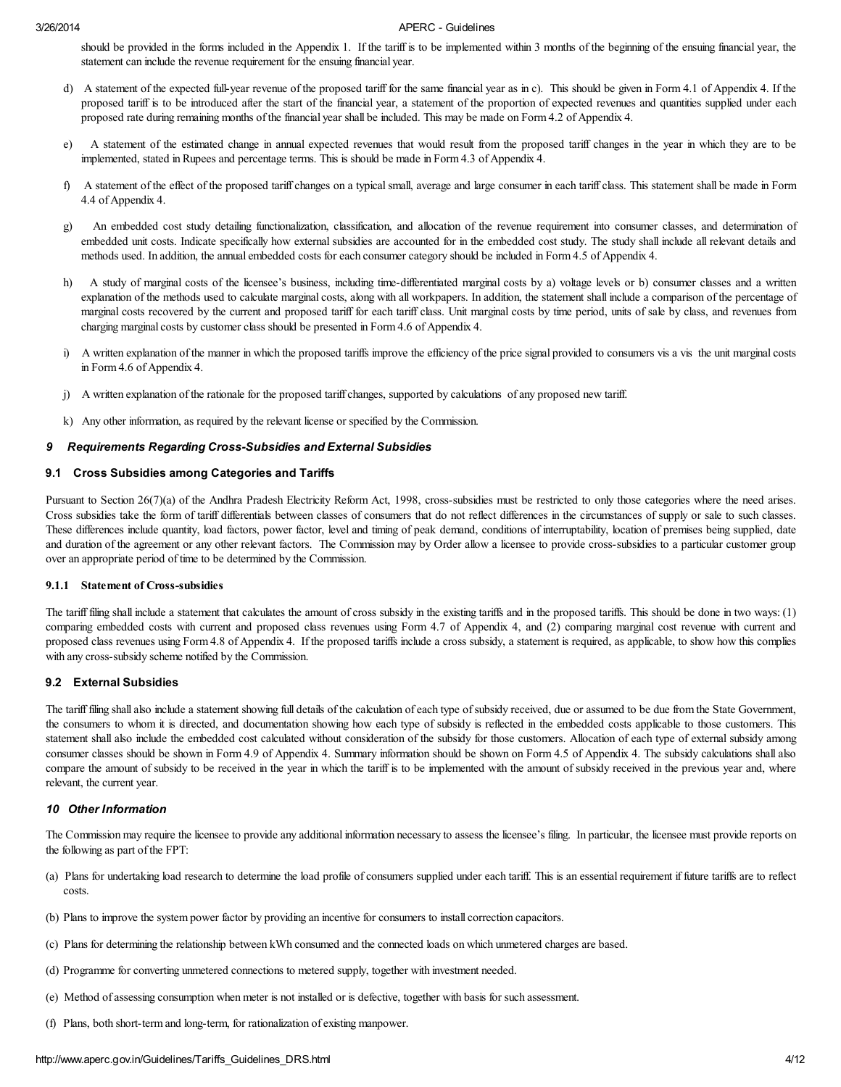should be provided in the forms included in the Appendix 1. If the tariff is to be implemented within 3 months of the beginning of the ensuing financial year, the statement can include the revenue requirement for the ensuing financial year.

- d) A statement of the expected full-year revenue of the proposed tariff for the same financial year as in c). This should be given in Form 4.1 of Appendix 4. If the proposed tariff is to be introduced after the start of the financial year, a statement of the proportion of expected revenues and quantities supplied under each proposed rate during remaining months of the financial year shall be included. This may be made on Form 4.2 of Appendix 4.
- e) A statement of the estimated change in annual expected revenues that would result from the proposed tariff changes in the year in which they are to be implemented, stated in Rupees and percentage terms. This is should be made in Form 4.3 of Appendix 4.
- f) A statement of the effect of the proposed tariff changes on a typicalsmall, average and large consumer in each tariff class. This statement shall be made in Form 4.4 of Appendix 4.
- g) An embedded cost study detailing functionalization, classification, and allocation of the revenue requirement into consumer classes, and determination of embedded unit costs. Indicate specifically how external subsidies are accounted for in the embedded cost study. The study shall include all relevant details and methods used. In addition, the annual embedded costs for each consumer category should be included in Form 4.5 of Appendix 4.
- h) A study of marginal costs of the licensee's business, including time-differentiated marginal costs by a) voltage levels or b) consumer classes and a written explanation of the methods used to calculate marginal costs, along with all workpapers. In addition, the statement shall include a comparison of the percentage of marginal costs recovered by the current and proposed tariff for each tariff class. Unit marginal costs by time period, units of sale by class, and revenues from charging marginal costs by customer class should be presented in Form 4.6 of Appendix 4.
- i) A written explanation of the manner in which the proposed tariffs improve the efficiency of the price signal provided to consumers vis a vis the unit marginal costs in Form 4.6 of Appendix 4.
- j) A written explanation of the rationale for the proposed tariff changes, supported by calculations of any proposed new tariff.
- k) Any other information, as required by the relevant license or specified by the Commission.

### 9 Requirements Regarding Cross-Subsidies and External Subsidies

#### 9.1 Cross Subsidies among Categories and Tariffs

Pursuant to Section 26(7)(a) of the Andhra Pradesh Electricity Reform Act, 1998, cross-subsidies must be restricted to only those categories where the need arises. Cross subsidies take the form of tariff differentials between classes of consumers that do not reflect differences in the circumstances of supply or sale to such classes. These differences include quantity, load factors, power factor, level and timing of peak demand, conditions of interruptability, location of premises being supplied, date and duration of the agreement or any other relevant factors. The Commission may by Order allow a licensee to provide cross-subsidies to a particular customer group over an appropriate period of time to be determined by the Commission.

#### 9.1.1 Statement of Cross-subsidies

The tariff filing shall include a statement that calculates the amount of cross subsidy in the existing tariffs and in the proposed tariffs. This should be done in two ways: (1) comparing embedded costs with current and proposed class revenues using Form 4.7 of Appendix 4, and (2) comparing marginal cost revenue with current and proposed class revenues using Form 4.8 of Appendix 4. If the proposed tariffs include a cross subsidy, a statement is required, as applicable, to show how this complies with any cross-subsidy scheme notified by the Commission.

#### 9.2 External Subsidies

The tariff filing shall also include a statement showing full details of the calculation of each type of subsidy received, due or assumed to be due from the State Government, the consumers to whom it is directed, and documentation showing how each type of subsidy is reflected in the embedded costs applicable to those customers. This statement shall also include the embedded cost calculated without consideration of the subsidy for those customers. Allocation of each type of external subsidy among consumer classes should be shown in Form 4.9 of Appendix 4. Summary information should be shown on Form 4.5 of Appendix 4. The subsidy calculations shall also compare the amount of subsidy to be received in the year in which the tariff is to be implemented with the amount of subsidy received in the previous year and, where relevant, the current year.

#### 10 Other Information

The Commission may require the licensee to provide any additional information necessary to assess the licensee's filing. In particular, the licensee must provide reports on the following as part of the FPT:

- (a) Plans for undertaking load research to determine the load profile of consumers supplied under each tariff. This is an essential requirement if future tariffs are to reflect costs.
- (b) Plans to improve the system power factor by providing an incentive for consumers to install correction capacitors.
- (c) Plans for determining the relationship between kWh consumed and the connected loads on which unmetered charges are based.
- (d) Programme for converting unmetered connections to metered supply, together with investment needed.
- (e) Method of assessing consumption when meter is not installed or is defective, together with basis for such assessment.
- (f) Plans, both short-term and long-term, for rationalization of existing manpower.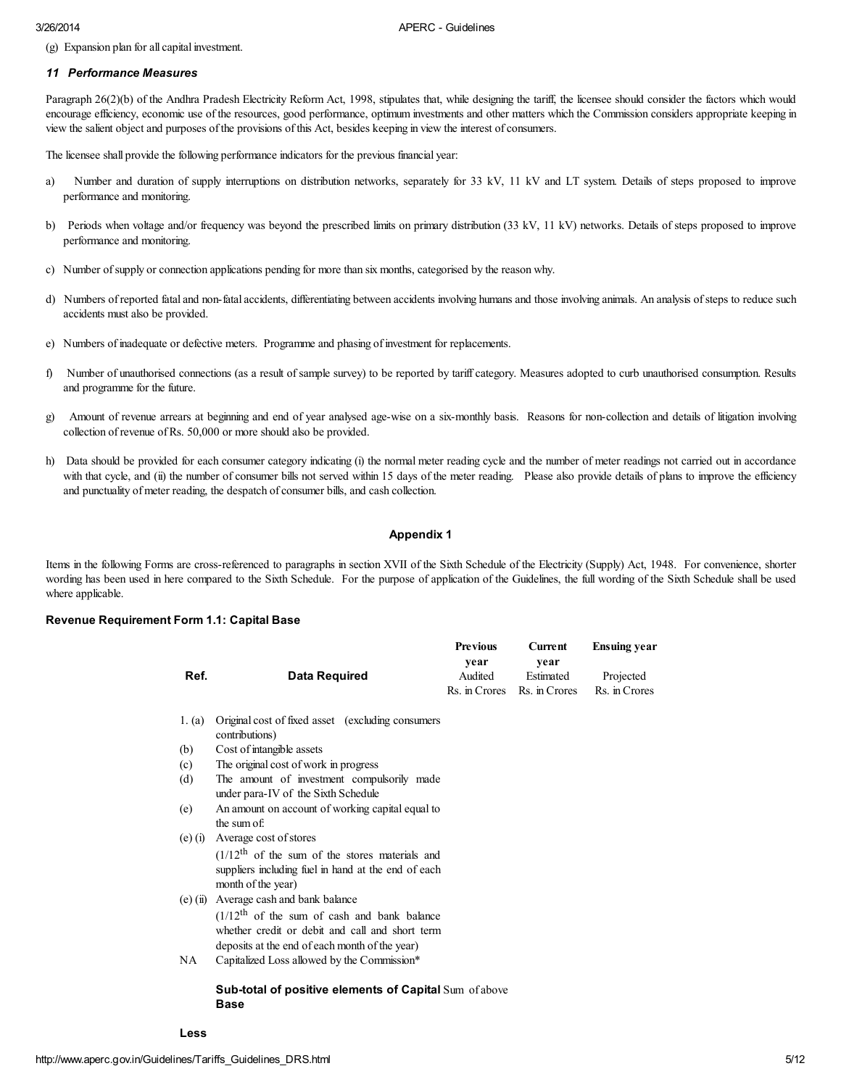(g) Expansion plan for all capital investment.

#### 11 Performance Measures

Paragraph 26(2)(b) of the Andhra Pradesh Electricity Reform Act, 1998, stipulates that, while designing the tariff, the licensee should consider the factors which would encourage efficiency, economic use of the resources, good performance, optimum investments and other matters which the Commission considers appropriate keeping in view the salient object and purposes of the provisions of this Act, besides keeping in view the interest of consumers.

The licensee shall provide the following performance indicators for the previous financial year:

- a) Number and duration of supply interruptions on distribution networks, separately for 33 kV, 11 kV and LT system. Details of steps proposed to improve performance and monitoring.
- b) Periods when voltage and/or frequency was beyond the prescribed limits on primary distribution (33 kV, 11 kV) networks. Details of steps proposed to improve performance and monitoring.
- c) Number ofsupply or connection applications pending for more than six months, categorised by the reason why.
- d) Numbers of reported fatal and non-fatal accidents, differentiating between accidents involving humans and those involving animals. An analysis ofsteps to reduce such accidents must also be provided.
- e) Numbers of inadequate or defective meters. Programme and phasing of investment for replacements.
- f) Number of unauthorised connections (as a result of sample survey) to be reported by tariff category. Measures adopted to curb unauthorised consumption. Results and programme for the future.
- g) Amount of revenue arrears at beginning and end of year analysed age-wise on a six-monthly basis. Reasons for non-collection and details of litigation involving collection of revenue of Rs. 50,000 or more should also be provided.
- h) Data should be provided for each consumer category indicating (i) the normal meter reading cycle and the number of meter readings not carried out in accordance with that cycle, and (ii) the number of consumer bills not served within 15 days of the meter reading. Please also provide details of plans to improve the efficiency and punctuality of meter reading, the despatch of consumer bills, and cash collection.

### Appendix 1

Items in the following Forms are cross-referenced to paragraphs in section XVII of the Sixth Schedule of the Electricity (Supply) Act, 1948. For convenience, shorter wording has been used in here compared to the Sixth Schedule. For the purpose of application of the Guidelines, the full wording of the Sixth Schedule shall be used where applicable.

#### Revenue Requirement Form 1.1: Capital Base

|            |                                                                              | <b>Previous</b>                  | <b>Current</b>                     | <b>Ensuing year</b>        |
|------------|------------------------------------------------------------------------------|----------------------------------|------------------------------------|----------------------------|
| Ref.       | <b>Data Required</b>                                                         | vear<br>Audited<br>Rs. in Crores | vear<br>Estimated<br>Rs. in Crores | Projected<br>Rs. in Crores |
|            |                                                                              |                                  |                                    |                            |
| 1. (a)     | Original cost of fixed asset (excluding consumers)<br>contributions)         |                                  |                                    |                            |
| (b)        | Cost of intangible assets                                                    |                                  |                                    |                            |
| (c)        | The original cost of work in progress                                        |                                  |                                    |                            |
| (d)        | The amount of investment compulsorily made                                   |                                  |                                    |                            |
|            | under para-IV of the Sixth Schedule                                          |                                  |                                    |                            |
| (e)        | An amount on account of working capital equal to                             |                                  |                                    |                            |
|            | the sum of:                                                                  |                                  |                                    |                            |
| $(e)$ (i)  | Average cost of stores                                                       |                                  |                                    |                            |
|            | $(1/12^{\text{th}})$ of the sum of the stores materials and                  |                                  |                                    |                            |
|            | suppliers including fuel in hand at the end of each                          |                                  |                                    |                            |
|            | month of the year)                                                           |                                  |                                    |                            |
| $(e)$ (ii) | Average cash and bank balance                                                |                                  |                                    |                            |
|            | $(1/12th$ of the sum of cash and bank balance                                |                                  |                                    |                            |
|            | whether credit or debit and call and short term                              |                                  |                                    |                            |
|            | deposits at the end of each month of the year)                               |                                  |                                    |                            |
| NA         | Capitalized Loss allowed by the Commission*                                  |                                  |                                    |                            |
|            | <b>Sub-total of positive elements of Capital Sum of above</b><br><b>Base</b> |                                  |                                    |                            |

Less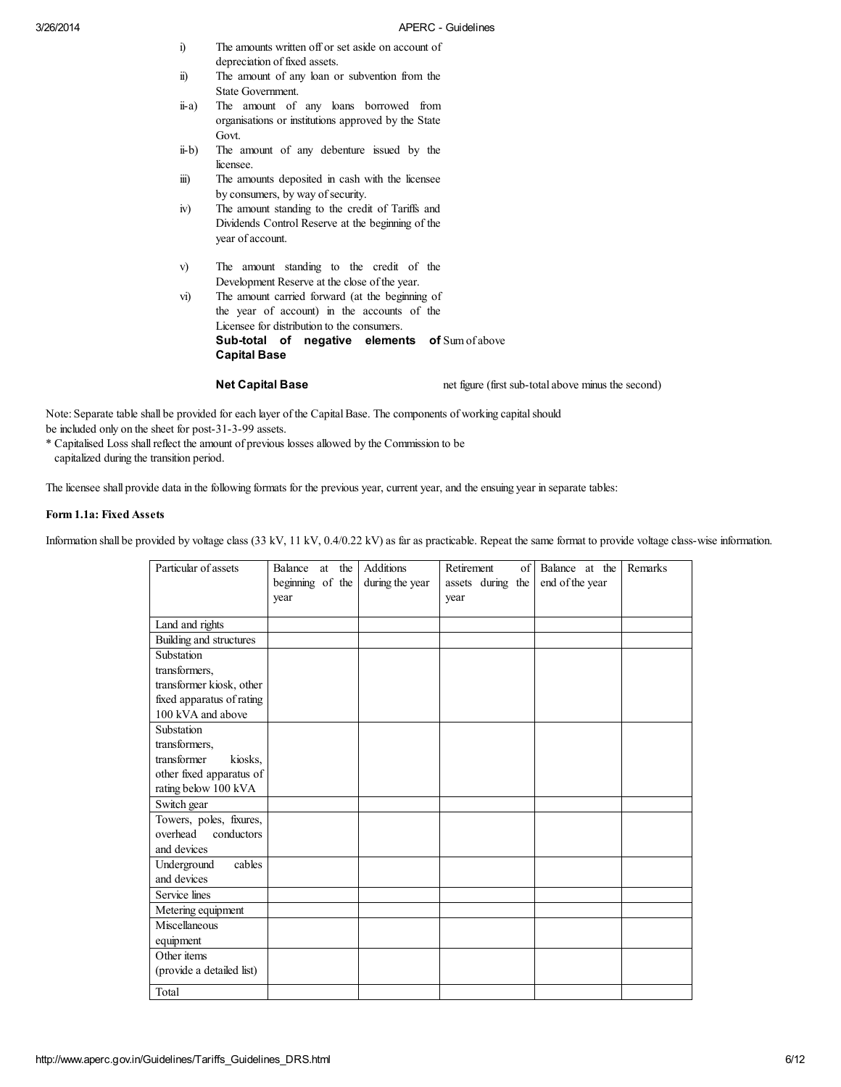- i) The amounts written off or set aside on account of depreciation of fixed assets.
- ii) The amount of any loan or subvention from the State Government.
- ii-a) The amount of any loans borrowed from organisations or institutions approved by the State Govt.
- ii-b) The amount of any debenture issued by the licensee.
- iii) The amounts deposited in cash with the licensee by consumers, by way of security.
- iv) The amount standing to the credit of Tariffs and Dividends Control Reserve at the beginning of the year of account.
- v) The amount standing to the credit of the Development Reserve at the close of the year.
- vi) The amount carried forward (at the beginning of the year of account) in the accounts of the Licensee for distribution to the consumers. Sub-total of negative elements of Sum of above Capital Base

Net Capital Base net figure (first sub-total above minus the second)

Note: Separate table shall be provided for each layer of the Capital Base. The components of working capital should be included only on the sheet for post-31-3-99 assets.

\* Capitalised Loss shallreflect the amount of previous losses allowed by the Commission to be

capitalized during the transition period.

The licensee shall provide data in the following formats for the previous year, current year, and the ensuing year in separate tables:

### Form 1.1a: Fixed Assets

Information shall be provided by voltage class (33 kV, 11 kV, 0.4/0.22 kV) as far as practicable. Repeat the same format to provide voltage class-wise information.

| Particular of assets      | Balance<br>at the | <b>Additions</b> | Retirement<br>of  | Balance at the  | Remarks |
|---------------------------|-------------------|------------------|-------------------|-----------------|---------|
|                           | beginning of the  | during the year  | assets during the | end of the year |         |
|                           | year              |                  | year              |                 |         |
|                           |                   |                  |                   |                 |         |
| Land and rights           |                   |                  |                   |                 |         |
| Building and structures   |                   |                  |                   |                 |         |
| Substation                |                   |                  |                   |                 |         |
| transformers.             |                   |                  |                   |                 |         |
| transformer kiosk, other  |                   |                  |                   |                 |         |
| fixed apparatus of rating |                   |                  |                   |                 |         |
| 100 kVA and above         |                   |                  |                   |                 |         |
| Substation                |                   |                  |                   |                 |         |
| transformers,             |                   |                  |                   |                 |         |
| transformer<br>kiosks.    |                   |                  |                   |                 |         |
| other fixed apparatus of  |                   |                  |                   |                 |         |
| rating below 100 kVA      |                   |                  |                   |                 |         |
| Switch gear               |                   |                  |                   |                 |         |
| Towers, poles, fixures,   |                   |                  |                   |                 |         |
| overhead<br>conductors    |                   |                  |                   |                 |         |
| and devices               |                   |                  |                   |                 |         |
| cables<br>Underground     |                   |                  |                   |                 |         |
| and devices               |                   |                  |                   |                 |         |
| Service lines             |                   |                  |                   |                 |         |
| Metering equipment        |                   |                  |                   |                 |         |
| Miscellaneous             |                   |                  |                   |                 |         |
| equipment                 |                   |                  |                   |                 |         |
| Other items               |                   |                  |                   |                 |         |
| (provide a detailed list) |                   |                  |                   |                 |         |
| Total                     |                   |                  |                   |                 |         |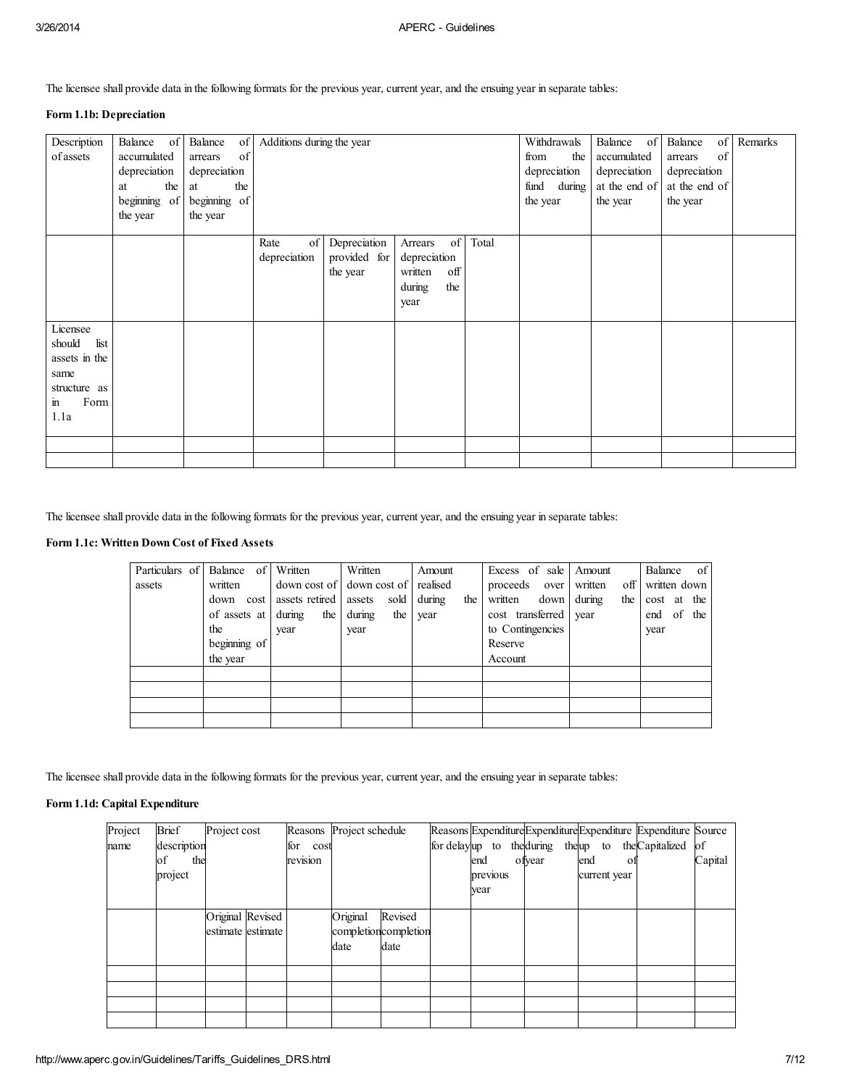The licensee shall provide data in the following formats for the previous year, current year, and the ensuing year in separate tables:

## Form 1.1b: Depreciation

| Description<br>of assets                                                                            | Balance of<br>accumulated<br>depreciation<br>the<br>at<br>beginning of<br>the year | Balance<br>of<br>arrears<br>depreciation<br>the<br>at<br>beginning of<br>the year | of Additions during the year |                                          |                                                                            |       | Withdrawals<br>the<br>from<br>depreciation<br>fund during<br>the year | Balance<br>of<br>accumulated<br>depreciation<br>at the end of<br>the year | Balance<br>of<br>of<br>arrears<br>depreciation<br>at the end of<br>the year | Remarks |
|-----------------------------------------------------------------------------------------------------|------------------------------------------------------------------------------------|-----------------------------------------------------------------------------------|------------------------------|------------------------------------------|----------------------------------------------------------------------------|-------|-----------------------------------------------------------------------|---------------------------------------------------------------------------|-----------------------------------------------------------------------------|---------|
|                                                                                                     |                                                                                    |                                                                                   | of<br>Rate<br>depreciation   | Depreciation<br>provided for<br>the year | of  <br>Arrears<br>depreciation<br>off<br>written<br>during<br>the<br>year | Total |                                                                       |                                                                           |                                                                             |         |
| Licensee<br>list<br>should<br>assets in the<br>same<br>structure as<br>Form<br>$\mathbf{m}$<br>1.1a |                                                                                    |                                                                                   |                              |                                          |                                                                            |       |                                                                       |                                                                           |                                                                             |         |
|                                                                                                     |                                                                                    |                                                                                   |                              |                                          |                                                                            |       |                                                                       |                                                                           |                                                                             |         |

The licensee shall provide data in the following formats for the previous year, current year, and the ensuing year in separate tables:

## Form 1.1c: Written Down Cost of Fixed Assets

| Particulars of | $\sigma$ f<br>Balance | Written        | Written                            | Amount        | Excess of sale   | Amount         | Balance of   |
|----------------|-----------------------|----------------|------------------------------------|---------------|------------------|----------------|--------------|
| assets         | written               |                | down cost of down cost of realised |               | proceeds over    | off<br>written | written down |
|                | down cost             | assets retired | sold<br>assets                     | during<br>the | written<br>down  | during<br>the  | cost at the  |
|                | of assets at          | during<br>the  | during<br>the                      | year          | cost transferred | year           | end of the   |
|                | the                   | year           | year                               |               | to Contingencies |                | year         |
|                | beginning of          |                |                                    |               | Reserve          |                |              |
|                | the year              |                |                                    |               | Account          |                |              |
|                |                       |                |                                    |               |                  |                |              |
|                |                       |                |                                    |               |                  |                |              |
|                |                       |                |                                    |               |                  |                |              |
|                |                       |                |                                    |               |                  |                |              |

The licensee shall provide data in the following formats for the previous year, current year, and the ensuing year in separate tables:

#### Form 1.1d: Capital Expenditure

| Project | <b>Brief</b> | Project cost      |          | Reasons Project schedule |                      |          |        |     |              |                | Reasons ExpenditureExpenditureExpenditure Expenditure Source |               |
|---------|--------------|-------------------|----------|--------------------------|----------------------|----------|--------|-----|--------------|----------------|--------------------------------------------------------------|---------------|
| name    | description  |                   | for cost |                          |                      |          |        |     |              |                | for delayup to the during the up to the Capitalized          | <sup>of</sup> |
|         | of<br>the    |                   | revision |                          |                      | end      | ofvear | end |              | O <sub>1</sub> |                                                              | Capital       |
|         | project      |                   |          |                          |                      | previous |        |     | current year |                |                                                              |               |
|         |              |                   |          |                          |                      | year     |        |     |              |                |                                                              |               |
|         |              |                   |          |                          |                      |          |        |     |              |                |                                                              |               |
|         |              | Original Revised  |          | Original                 | Revised              |          |        |     |              |                |                                                              |               |
|         |              | estimate estimate |          |                          | completioncompletion |          |        |     |              |                |                                                              |               |
|         |              |                   |          | date                     | date                 |          |        |     |              |                |                                                              |               |
|         |              |                   |          |                          |                      |          |        |     |              |                |                                                              |               |
|         |              |                   |          |                          |                      |          |        |     |              |                |                                                              |               |
|         |              |                   |          |                          |                      |          |        |     |              |                |                                                              |               |
|         |              |                   |          |                          |                      |          |        |     |              |                |                                                              |               |
|         |              |                   |          |                          |                      |          |        |     |              |                |                                                              |               |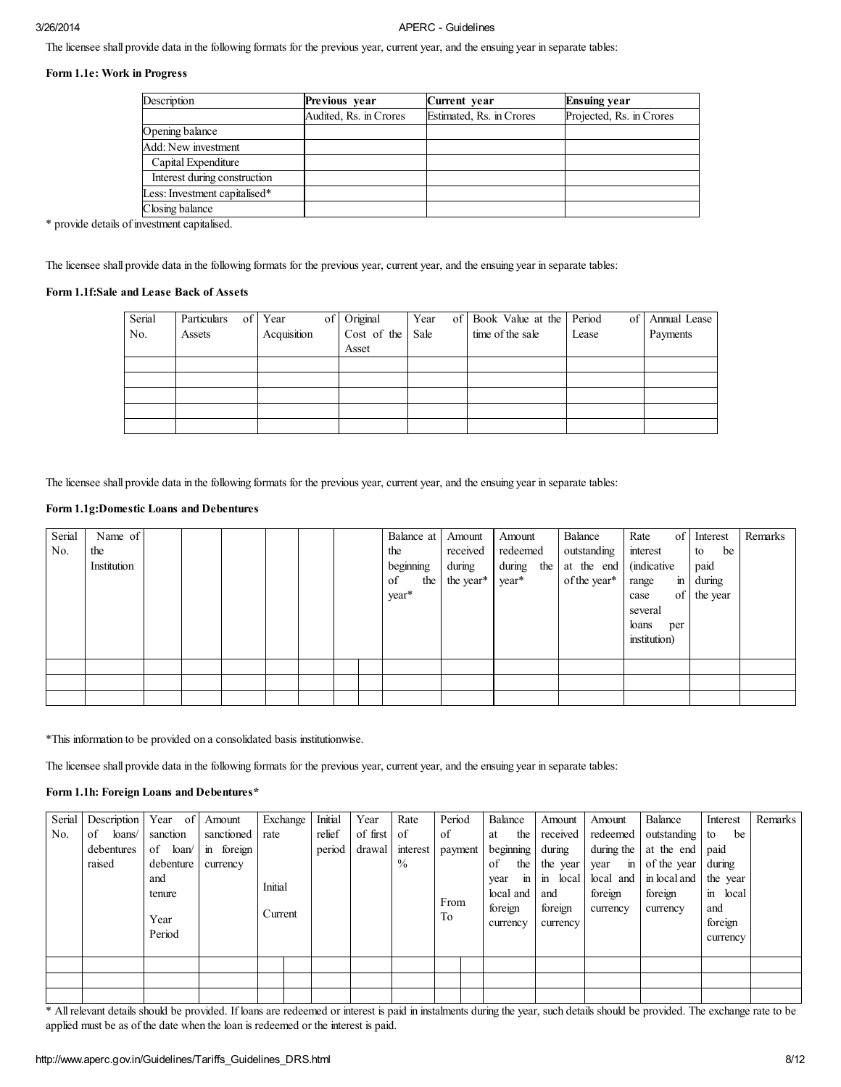The licensee shall provide data in the following formats for the previous year, current year, and the ensuing year in separate tables:

## Form 1.1e: Work in Progress

| Description                   | Previous year          | Current year             | <b>Ensuing year</b>      |
|-------------------------------|------------------------|--------------------------|--------------------------|
|                               | Audited, Rs. in Crores | Estimated, Rs. in Crores | Projected, Rs. in Crores |
| Opening balance               |                        |                          |                          |
| Add: New investment           |                        |                          |                          |
| Capital Expenditure           |                        |                          |                          |
| Interest during construction  |                        |                          |                          |
| Less: Investment capitalised* |                        |                          |                          |
| Closing balance               |                        |                          |                          |

\* provide details of investment capitalised.

The licensee shall provide data in the following formats for the previous year, current year, and the ensuing year in separate tables:

## Form 1.1f:Sale and Lease Back of Assets

| Serial | Particulars | of Year     | of | Original    | Year | of l | Book Value at the | Period<br>$\circ$ f' | Annual Lease |
|--------|-------------|-------------|----|-------------|------|------|-------------------|----------------------|--------------|
| No.    | Assets      | Acquisition |    | Cost of the | Sale |      | time of the sale  | Lease                | Payments     |
|        |             |             |    | Asset       |      |      |                   |                      |              |
|        |             |             |    |             |      |      |                   |                      |              |
|        |             |             |    |             |      |      |                   |                      |              |
|        |             |             |    |             |      |      |                   |                      |              |
|        |             |             |    |             |      |      |                   |                      |              |
|        |             |             |    |             |      |      |                   |                      |              |

The licensee shall provide data in the following formats for the previous year, current year, and the ensuing year in separate tables:

### Form 1.1g:Domestic Loans and Debentures

| Serial | Name of     |  |  |  | Balance at | Amount        | Amount     | Balance         | Rate<br>of            | Interest    | Remarks |
|--------|-------------|--|--|--|------------|---------------|------------|-----------------|-----------------------|-------------|---------|
| No.    | the         |  |  |  | the        | received      | redeemed   | outstanding     | interest              | to<br>be    |         |
|        | Institution |  |  |  | beginning  | during        | during the | at the end      | (indicative)          | paid        |         |
|        |             |  |  |  | of         | the the year* | year*      | of the year $*$ | $\mathbf{m}$<br>range | during      |         |
|        |             |  |  |  | year*      |               |            |                 | case                  | of the year |         |
|        |             |  |  |  |            |               |            |                 | several               |             |         |
|        |             |  |  |  |            |               |            |                 | loans<br>per          |             |         |
|        |             |  |  |  |            |               |            |                 | institution)          |             |         |
|        |             |  |  |  |            |               |            |                 |                       |             |         |
|        |             |  |  |  |            |               |            |                 |                       |             |         |
|        |             |  |  |  |            |               |            |                 |                       |             |         |
|        |             |  |  |  |            |               |            |                 |                       |             |         |

\*This information to be provided on a consolidated basis institutionwise.

The licensee shall provide data in the following formats for the previous year, current year, and the ensuing year in separate tables:

#### Form 1.1h: Foreign Loans and Debentures\*

| Serial | Description  | Year of   | Amount     | Exchange | Initial | Year     | Rate          | Period  | Balance              | Amount                | Amount               | Balance        | Interest              | Remarks |
|--------|--------------|-----------|------------|----------|---------|----------|---------------|---------|----------------------|-----------------------|----------------------|----------------|-----------------------|---------|
| No.    | loans/<br>of | sanction  | sanctioned | rate     | relief  | of first | of            | of      | the<br>at            | received              | redeemed             | outstanding to | be                    |         |
|        | debentures   | of loan/  | in foreign |          | period  | drawal   | interest      | payment | beginning            | during                | during the           | at the end     | paid                  |         |
|        | raised       | debenture | currency   |          |         |          | $\frac{0}{0}$ |         | of<br>the            | the year              | year<br>$\mathbf{m}$ | of the year    | during                |         |
|        |              | and       |            |          |         |          |               |         | $\mathbf{m}$<br>year | $\mathbf{m}$<br>local | local and            | in local and   | the year              |         |
|        |              | tenure    |            | Initial  |         |          |               |         | local and            | and                   | foreign              | foreign        | $\mathbf{m}$<br>local |         |
|        |              |           |            | Current  |         |          |               | From    | foreign              | foreign               | currency             | currency       | and                   |         |
|        |              | Year      |            |          |         |          |               | To      | currency             | currency              |                      |                | foreign               |         |
|        |              | Period    |            |          |         |          |               |         |                      |                       |                      |                | currency              |         |
|        |              |           |            |          |         |          |               |         |                      |                       |                      |                |                       |         |
|        |              |           |            |          |         |          |               |         |                      |                       |                      |                |                       |         |
|        |              |           |            |          |         |          |               |         |                      |                       |                      |                |                       |         |
|        |              |           |            |          |         |          |               |         |                      |                       |                      |                |                       |         |

\* All relevant details should be provided. If loans are redeemed or interest is paid in instalments during the year, such details should be provided. The exchange rate to be applied must be as of the date when the loan is redeemed or the interest is paid.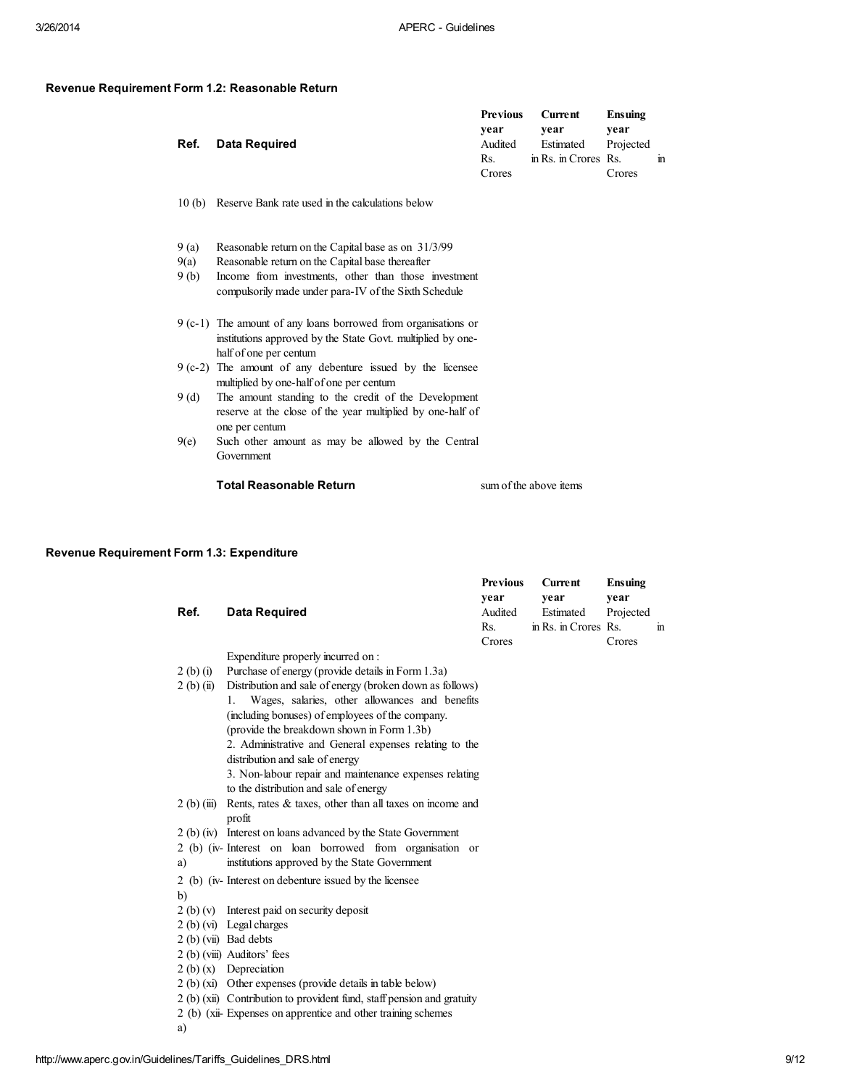#### Revenue Requirement Form 1.2: Reasonable Return

|                    | Previous | Current              | Ensuing   |   |
|--------------------|----------|----------------------|-----------|---|
|                    | vear     | vear                 | vear      |   |
| Ref. Data Required | Audited  | Estimated            | Projected |   |
|                    | Rs.      | in Rs. in Crores Rs. |           | m |
|                    | Crores   |                      | Crores    |   |

#### 10 (b) Reserve Bank rate used in the calculations below

- 9 (a) Reasonable return on the Capital base as on 31/3/99
- 9(a) Reasonable return on the Capital base thereafter
- 9 (b) Income from investments, other than those investment compulsorily made under para-IV of the Sixth Schedule
- 9 (c-1) The amount of any loans borrowed from organisations or institutions approved by the State Govt. multiplied by onehalf of one per centum
- 9 (c-2) The amount of any debenture issued by the licensee multiplied by one-half of one per centum
- 9 (d) The amount standing to the credit of the Development reserve at the close of the year multiplied by one-half of one per centum
- 9(e) Such other amount as may be allowed by the Central Government

## Total Reasonable Return sum of the above items

### Revenue Requirement Form 1.3: Expenditure

|              |                                                                        | <b>Previous</b> | <b>Current</b>       | <b>Ensuing</b> |              |
|--------------|------------------------------------------------------------------------|-----------------|----------------------|----------------|--------------|
|              |                                                                        | vear            | vear                 | year           |              |
| Ref.         | <b>Data Required</b>                                                   | Audited         | Estimated            | Projected      |              |
|              |                                                                        | Rs.             | in Rs. in Crores Rs. |                | $\mathbf{m}$ |
|              |                                                                        | Crores          |                      | Crores         |              |
|              | Expenditure properly incurred on :                                     |                 |                      |                |              |
| 2(b)(i)      | Purchase of energy (provide details in Form 1.3a)                      |                 |                      |                |              |
| $2(b)$ (ii)  | Distribution and sale of energy (broken down as follows)               |                 |                      |                |              |
|              | Wages, salaries, other allowances and benefits<br>1.                   |                 |                      |                |              |
|              | (including bonuses) of employees of the company.                       |                 |                      |                |              |
|              | (provide the breakdown shown in Form 1.3b)                             |                 |                      |                |              |
|              | 2. Administrative and General expenses relating to the                 |                 |                      |                |              |
|              | distribution and sale of energy                                        |                 |                      |                |              |
|              | 3. Non-labour repair and maintenance expenses relating                 |                 |                      |                |              |
|              | to the distribution and sale of energy                                 |                 |                      |                |              |
| $2(b)$ (iii) | Rents, rates & taxes, other than all taxes on income and               |                 |                      |                |              |
|              | profit                                                                 |                 |                      |                |              |
|              | 2 (b) (iv) Interest on loans advanced by the State Government          |                 |                      |                |              |
|              | 2 (b) (iv-Interest on loan borrowed from organisation or               |                 |                      |                |              |
| a)           | institutions approved by the State Government                          |                 |                      |                |              |
|              | 2 (b) (iv-Interest on debenture issued by the licensee                 |                 |                      |                |              |
| b)           |                                                                        |                 |                      |                |              |
|              | 2 (b) (v) Interest paid on security deposit                            |                 |                      |                |              |
|              | 2 (b) (vi) Legal charges                                               |                 |                      |                |              |
|              | 2 (b) (vii) Bad debts                                                  |                 |                      |                |              |
|              | 2 (b) (viii) Auditors' fees                                            |                 |                      |                |              |
|              | $2(b)(x)$ Depreciation                                                 |                 |                      |                |              |
|              | 2 (b) (xi) Other expenses (provide details in table below)             |                 |                      |                |              |
|              | 2 (b) (xii) Contribution to provident fund, staff pension and gratuity |                 |                      |                |              |
|              | 2 (b) (xii-Expenses on apprentice and other training schemes           |                 |                      |                |              |
| a)           |                                                                        |                 |                      |                |              |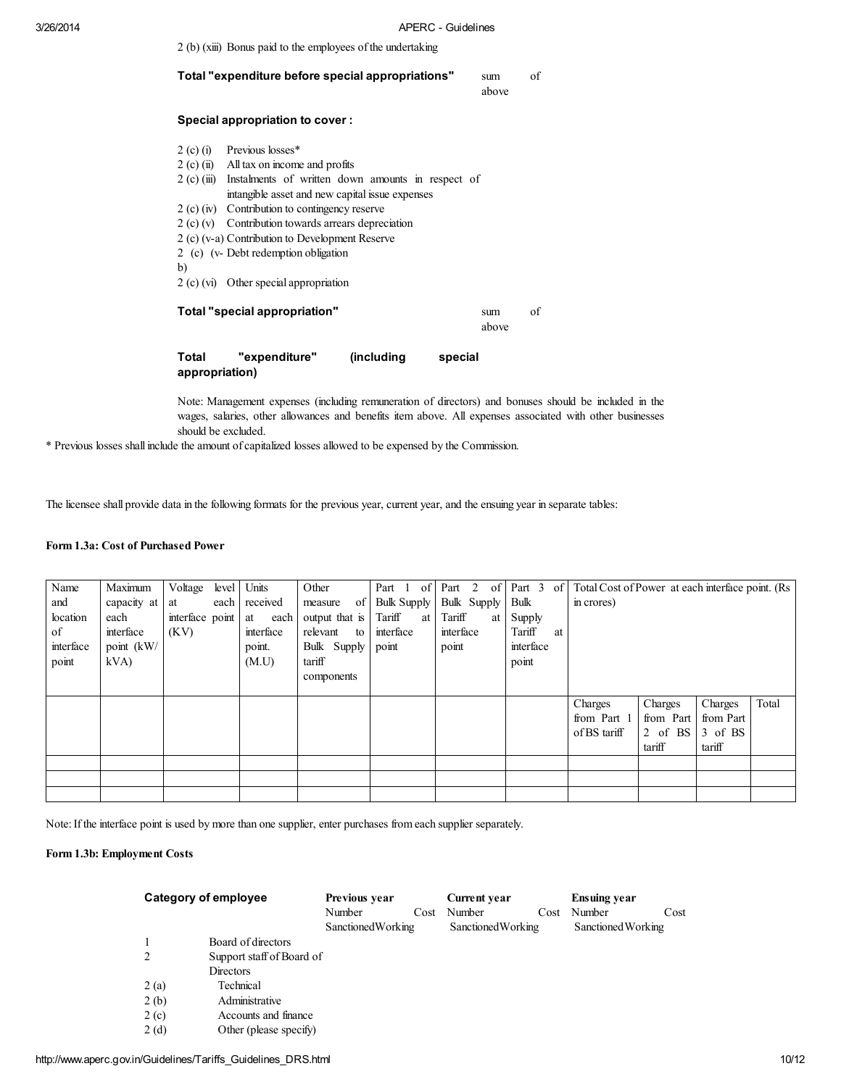|                         | 2 (b) (xiii) Bonus paid to the employees of the undertaking                                                                                                                                                                                                                                                                                                                                          |              |    |
|-------------------------|------------------------------------------------------------------------------------------------------------------------------------------------------------------------------------------------------------------------------------------------------------------------------------------------------------------------------------------------------------------------------------------------------|--------------|----|
|                         | Total "expenditure before special appropriations"                                                                                                                                                                                                                                                                                                                                                    | sum<br>above | of |
|                         | <b>Special appropriation to cover:</b>                                                                                                                                                                                                                                                                                                                                                               |              |    |
| b)                      | $2$ (c) (i) Previous losses*<br>$2(c)$ (ii) All tax on income and profits<br>$2(c)$ (iii) Instalments of written down amounts in respect of<br>intangible asset and new capital issue expenses<br>2 (c) (iv) Contribution to contingency reserve<br>$2 (c) (v)$ Contribution towards arrears depreciation<br>2 (c) (v-a) Contribution to Development Reserve<br>2 (c) (v- Debt redemption obligation |              |    |
|                         | $2(c)$ (vi) Other special appropriation                                                                                                                                                                                                                                                                                                                                                              |              |    |
|                         | Total "special appropriation"                                                                                                                                                                                                                                                                                                                                                                        | sum<br>above | of |
| Total<br>appropriation) | "expenditure"<br>(including<br>special                                                                                                                                                                                                                                                                                                                                                               |              |    |

Note: Management expenses (including remuneration of directors) and bonuses should be included in the wages, salaries, other allowances and benefits item above. All expenses associated with other businesses should be excluded.

\* Previous losses shall include the amount of capitalized losses allowed to be expensed by the Commission.

The licensee shall provide data in the following formats for the previous year, current year, and the ensuing year in separate tables:

## Form 1.3a: Cost of Purchased Power

| Name      | Maximum     | Voltage            | level Units   | Other          |                    | Part 1 of Part 2 of Part 3 of |              | Total Cost of Power at each interface point. (Rs. |           |           |       |
|-----------|-------------|--------------------|---------------|----------------|--------------------|-------------------------------|--------------|---------------------------------------------------|-----------|-----------|-------|
| and       | capacity at | at                 | each received | -of<br>measure | <b>Bulk Supply</b> | Bulk Supply                   | Bulk         | in crores)                                        |           |           |       |
| location  | each        | interface point at | each          | output that is | Tariff<br>at       | Tariff<br>at l                | Supply       |                                                   |           |           |       |
| of        | interface   | (KV)               | interface     | relevant<br>to | interface          | interface                     | Tariff<br>at |                                                   |           |           |       |
| interface | point (kW/  |                    | point.        | Bulk Supply    | point              | point                         | interface    |                                                   |           |           |       |
| point     | kVA         |                    | (M.U)         | tariff         |                    |                               | point        |                                                   |           |           |       |
|           |             |                    |               | components     |                    |                               |              |                                                   |           |           |       |
|           |             |                    |               |                |                    |                               |              |                                                   |           |           |       |
|           |             |                    |               |                |                    |                               |              | Charges                                           | Charges   | Charges   | Total |
|           |             |                    |               |                |                    |                               |              | from Part 1                                       | from Part | from Part |       |
|           |             |                    |               |                |                    |                               |              | of BS tariff                                      | 2 of BS   | 3 of BS   |       |
|           |             |                    |               |                |                    |                               |              |                                                   | tariff    | tariff    |       |
|           |             |                    |               |                |                    |                               |              |                                                   |           |           |       |
|           |             |                    |               |                |                    |                               |              |                                                   |           |           |       |
|           |             |                    |               |                |                    |                               |              |                                                   |           |           |       |

Note: If the interface point is used by more than one supplier, enter purchases from each supplier separately.

## Form 1.3b: Employment Costs

| Category of employee |                           | Previous year             |      | <b>Current year</b> |      | <b>Ensuing year</b> |      |  |
|----------------------|---------------------------|---------------------------|------|---------------------|------|---------------------|------|--|
|                      |                           | Number                    | Cost | Number              | Cost | Number              | Cost |  |
|                      |                           | <b>Sanctioned Working</b> |      | Sanctioned Working  |      | Sanctioned Working  |      |  |
|                      | Board of directors        |                           |      |                     |      |                     |      |  |
| 2                    | Support staff of Board of |                           |      |                     |      |                     |      |  |
|                      | Directors                 |                           |      |                     |      |                     |      |  |
| 2(a)                 | Technical                 |                           |      |                     |      |                     |      |  |
| 2(b)                 | Administrative            |                           |      |                     |      |                     |      |  |
| 2(c)                 | Accounts and finance      |                           |      |                     |      |                     |      |  |
| 2(d)                 | Other (please specify)    |                           |      |                     |      |                     |      |  |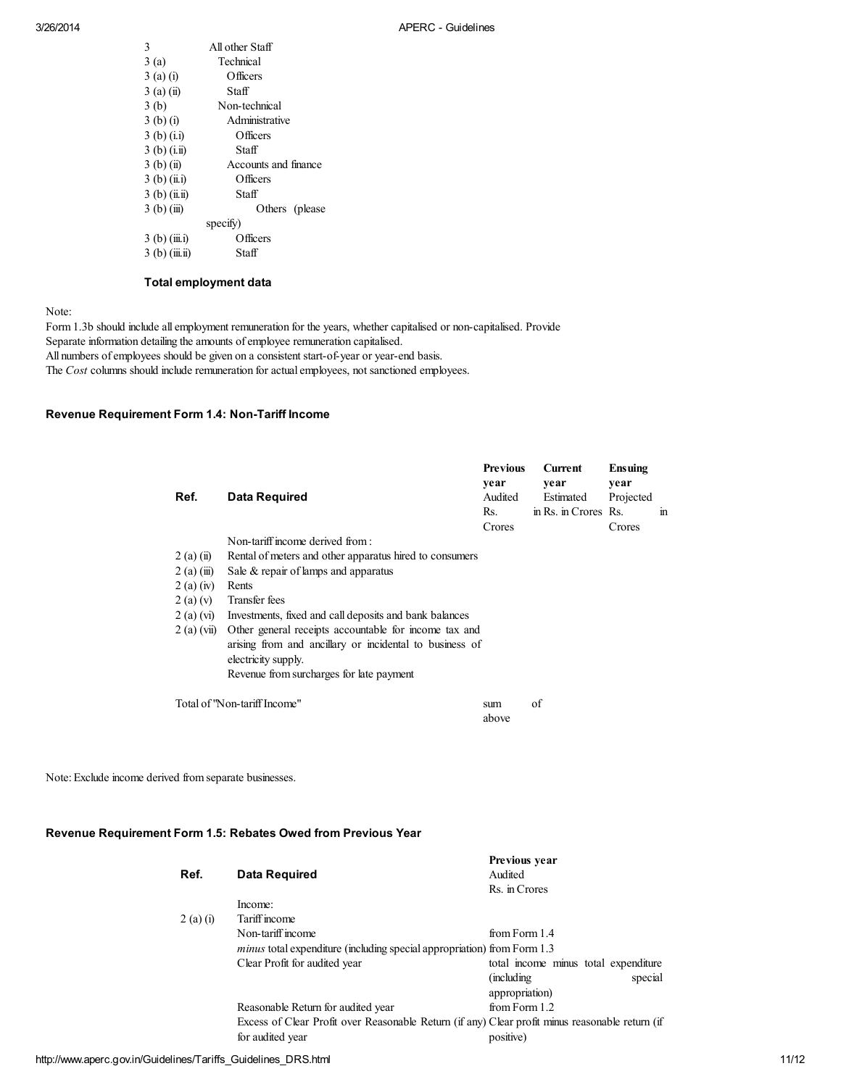| 3               | All other Staff      |
|-----------------|----------------------|
| 3(a)            | Technical            |
| $3(a)$ (i)      | Officers             |
| $3(a)$ (ii)     | Staff                |
| 3(b)            | Non-technical        |
| $3(b)$ (i)      | Administrative       |
| $3(b)$ (i.i)    | Officers             |
| $3(b)$ (i.ii)   | Staff                |
| $3(b)$ (ii)     | Accounts and finance |
| $3(b)$ (ii.i)   | Officers             |
| $3(b)$ (ii.ii)  | Staff                |
| $3(b)$ (iii)    | Others (please)      |
|                 | specify)             |
| $3(b)$ (iii.i)  | Officers             |
| $3(b)$ (iii.ii) | Staff                |

### Total employment data

Note:

Form 1.3b should include all employment remuneration for the years, whether capitalised or non-capitalised. Provide Separate information detailing the amounts of employee remuneration capitalised. All numbers of employees should be given on a consistent start-of-year or year-end basis. The *Cost* columns should include remuneration for actual employees, not sanctioned employees.

## Revenue Requirement Form 1.4: Non-Tariff Income

| Ref.                         | Data Required                                                                                                                          | <b>Previous</b><br>year<br>Audited | <b>Current</b><br>year<br>Estimated | Ensuing<br>year<br>Projected |              |
|------------------------------|----------------------------------------------------------------------------------------------------------------------------------------|------------------------------------|-------------------------------------|------------------------------|--------------|
|                              |                                                                                                                                        | Rs.<br>Crores                      | in Rs. in Crores Rs.                | Crores                       | $\mathbf{m}$ |
| $2(a)$ (ii)<br>$2$ (a) (iii) | Non-tariff income derived from :<br>Rental of meters and other apparatus hired to consumers<br>Sale $&$ repair of lamps and apparatus  |                                    |                                     |                              |              |
| 2(a)(iv)                     | Rents                                                                                                                                  |                                    |                                     |                              |              |
| 2(a)(v)<br>2(a) (vi)         | Transfer fees<br>Investments, fixed and call deposits and bank balances                                                                |                                    |                                     |                              |              |
| $2(a)$ (vii)                 | Other general recepts accountable for income tax and<br>arising from and ancillary or incidental to business of<br>electricity supply. |                                    |                                     |                              |              |
|                              | Revenue from surcharges for late payment                                                                                               |                                    |                                     |                              |              |
|                              | Total of "Non-tariff Income"                                                                                                           | sum<br>above                       | of                                  |                              |              |

Note: Exclude income derived from separate businesses.

## Revenue Requirement Form 1.5: Rebates Owed from Previous Year

| Data Required                                                                                   | TIC VIOUS VCAL<br>Audited            |  |  |  |  |
|-------------------------------------------------------------------------------------------------|--------------------------------------|--|--|--|--|
|                                                                                                 | Rs. in Crores                        |  |  |  |  |
| Income:                                                                                         |                                      |  |  |  |  |
| Tariff income                                                                                   |                                      |  |  |  |  |
| Non-tariff income                                                                               | from Form 1.4                        |  |  |  |  |
| <i>minus</i> total expenditure (including special appropriation) from Form 1.3                  |                                      |  |  |  |  |
| Clear Profit for audited year                                                                   | total income minus total expenditure |  |  |  |  |
|                                                                                                 | (including)<br>special               |  |  |  |  |
|                                                                                                 | appropriation)                       |  |  |  |  |
| Reasonable Return for audited year                                                              | from Form 1.2                        |  |  |  |  |
| Excess of Clear Profit over Reasonable Return (if any) Clear profit minus reasonable return (if |                                      |  |  |  |  |
| for audited year                                                                                | positive)                            |  |  |  |  |
|                                                                                                 |                                      |  |  |  |  |

Previous year